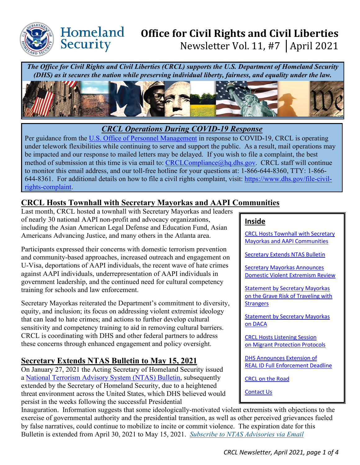

Homeland

Security

# **Office for Civil Rights and Civil Liberties**  Newsletter Vol. 11, #7 │April 2021

*The Office for Civil Rights and Civil Liberties (CRCL) supports the U.S. Department of Homeland Security (DHS) as it secures the nation while preserving individual liberty, fairness, and equality under the law.* 



## *CRCL Operations During COVID-19 Response*

Per guidance from the [U.S. Office of Personnel Management](https://www.opm.gov/policy-data-oversight/covid-19/) in response to COVID-19, CRCL is operating under telework flexibilities while continuing to serve and support the public. As a result, mail operations may be impacted and our response to mailed letters may be delayed. If you wish to file a complaint, the best method of submission at this time is via email to: [CRCLCompliance@hq.dhs.gov.](mailto:CRCLCompliance@hq.dhs.gov) CRCL staff will continue to monitor this email address, and our toll-free hotline for your questions at: 1-866-644-8360, TTY: 1-866- 644-8361. For additional details on how to file a civil rights complaint, visit: [https://www.dhs.gov/file-civil](https://www.dhs.gov/file-civil-rights-complaint)[rights-complaint.](https://www.dhs.gov/file-civil-rights-complaint)

# <span id="page-0-0"></span>**CRCL Hosts Townhall with Secretary Mayorkas and AAPI Communities**

Last month, CRCL hosted a townhall with Secretary Mayorkas and leaders of nearly 30 national AAPI non-profit and advocacy organizations, including the Asian American Legal Defense and Education Fund, Asian Americans Advancing Justice, and many others in the Atlanta area.

Participants expressed their concerns with domestic terrorism prevention and community-based approaches, increased outreach and engagement on U-Visa, deportations of AAPI individuals, the recent wave of hate crimes against AAPI individuals, underrepresentation of AAPI individuals in government leadership, and the continued need for cultural competency training for schools and law enforcement.

Secretary Mayorkas reiterated the Department's commitment to diversity, equity, and inclusion; its focus on addressing violent extremist ideology that can lead to hate crimes; and actions to further develop cultural sensitivity and competency training to aid in removing cultural barriers. CRCL is coordinating with DHS and other federal partners to address these concerns through enhanced engagement and policy oversight.

# <span id="page-0-1"></span>**Secretary Extends NTAS Bulletin to May 15, 2021**

On January 27, 2021 the Acting Secretary of Homeland Security issued a [National Terrorism Advisory System \(NTAS\) Bulletin,](https://www.dhs.gov/ntas/advisory/national-terrorism-advisory-system-bulletin-january-27-2021-updated-april-26-2021) subsequently extended by the Secretary of Homeland Security, due to a heightened threat environment across the United States, which DHS believed would persist in the weeks following the successful Presidential

Inauguration. Information suggests that some ideologically-motivated violent extremists with objections to the exercise of governmental authority and the presidential transition, as well as other perceived grievances fueled by false narratives, could continue to mobilize to incite or commit violence. The expiration date for this Bulletin is extended from April 30, 2021 to May 15, 2021. *[Subscribe to NTAS Advisories via Email](http://service.govdelivery.com/service/subscribe.html?code=USDHS_164)*

#### **Inside**

[CRCL Hosts Townhall with Secretary](#page-0-0)  [Mayorkas and AAPI Communities](#page-0-0) 

[Secretary Extends NTAS Bulletin](#page-0-1) 

[Secretary Mayorkas Announces](#page-1-0)  [Domestic Violent Extremism Review](#page-1-0) 

[Statement by Secretary Mayorkas](#page-1-1)  [on the Grave Risk of Traveling with](#page-1-1)  **Strangers** 

**Statement by Secretary Mayorkas** [on DACA](#page-1-2) 

[CRCL Hosts Listening Session](#page-2-0)  [on Migrant Protection Protocols](#page-2-0)

[DHS Announces Extension of](#page-2-1)  [REAL ID Full Enforcement Deadline](#page-2-1) 

[CRCL on the Road](#page-3-0)

[Contact Us](#page-3-1)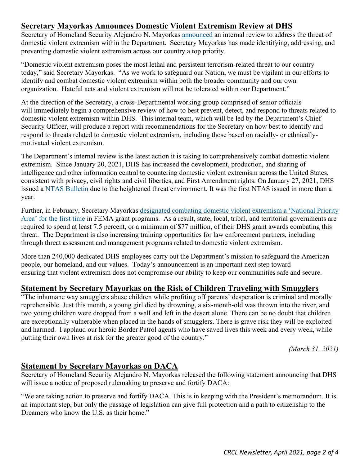## <span id="page-1-0"></span>**Secretary Mayorkas Announces Domestic Violent Extremism Review at DHS**

Secretary of Homeland Security Alejandro N. Mayorkas [announced](http://dhs.gov/publication/message-secretary-mayorkas-preventing-domestic-violent-extremism-within-dhs) an internal review to address the threat of domestic violent extremism within the Department. Secretary Mayorkas has made identifying, addressing, and preventing domestic violent extremism across our country a top priority.

"Domestic violent extremism poses the most lethal and persistent terrorism-related threat to our country today," said Secretary Mayorkas. "As we work to safeguard our Nation, we must be vigilant in our efforts to identify and combat domestic violent extremism within both the broader community and our own organization.Hateful acts and violent extremism will not be tolerated within our Department."

At the direction of the Secretary, a cross-Departmental working group comprised of senior officials will immediately begin a comprehensive review of how to best prevent, detect, and respond to threats related to domestic violent extremism within DHS. This internal team, which will be led by the Department's Chief Security Officer, will produce a report with recommendations for the Secretary on how best to identify and respond to threats related to domestic violent extremism, including those based on racially- or ethnicallymotivated violent extremism.

The Department's internal review is the latest action it is taking to comprehensively combat domestic violent extremism. Since January 20, 2021, DHS has increased the development, production, and sharing of intelligence and other information central to countering domestic violent extremism across the United States, consistent with privacy, civil rights and civil liberties, and First Amendment rights. On January 27, 2021, DHS issued a [NTAS Bulletin](https://www.dhs.gov/ntas/advisory/national-terrorism-advisory-system-bulletin-january-27-2021) due to the heightened threat environment. It was the first NTAS issued in more than a year.

Further, in February, Secretary Mayorkas [designated combating domestic violent extremism a 'National Priority](https://www.dhs.gov/news/2021/02/25/dhs-announces-funding-opportunity-187-billion-preparedness-grants)  Area' [for the first time](https://www.dhs.gov/news/2021/02/25/dhs-announces-funding-opportunity-187-billion-preparedness-grants) in FEMA grant programs. As a result, state, local, tribal, and territorial governments are required to spend at least 7.5 percent, or a minimum of \$77 million, of their DHS grant awards combating this threat. The Department is also increasing training opportunities for law enforcement partners, including through threat assessment and management programs related to domestic violent extremism.

More than 240,000 dedicated DHS employees carry out the Department's mission to safeguard the American people, our homeland, and our values. Today's announcement is an important next step toward ensuring that violent extremism does not compromise our ability to keep our communities safe and secure.

## <span id="page-1-1"></span>**Statement by Secretary Mayorkas on the Risk of Children Traveling with Smugglers**

"The inhumane way smugglers abuse children while profiting off parents' desperation is criminal and morally reprehensible. Just this month, a young girl died by drowning, a six-month-old was thrown into the river, and two young children were dropped from a wall and left in the desert alone. There can be no doubt that children are exceptionally vulnerable when placed in the hands of smugglers. There is grave risk they will be exploited and harmed. I applaud our heroic Border Patrol agents who have saved lives this week and every week, while putting their own lives at risk for the greater good of the country."

*(March 31, 2021)*

## <span id="page-1-2"></span>**Statement by Secretary Mayorkas on DACA**

Secretary of Homeland Security Alejandro N. Mayorkas released the following statement announcing that DHS will issue a notice of proposed rulemaking to preserve and fortify DACA:

"We are taking action to preserve and fortify DACA. This is in keeping with the President's memorandum. It is an important step, but only the passage of legislation can give full protection and a path to citizenship to the Dreamers who know the U.S. as their home."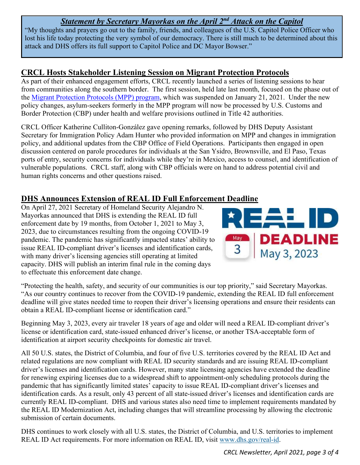# *Statement by Secretary Mayorkas on the April 2nd Attack on the Capitol*

"My thoughts and prayers go out to the family, friends, and colleagues of the U.S. Capitol Police Officer who lost his life today protecting the very symbol of our democracy. There is still much to be determined about this attack and DHS offers its full support to Capitol Police and DC Mayor Bowser."

## <span id="page-2-0"></span>**CRCL Hosts Stakeholder Listening Session on Migrant Protection Protocols**

As part of their enhanced engagement efforts, CRCL recently launched a series of listening sessions to hear from communities along the southern border. The first session, held late last month, focused on the phase out of the [Migrant Protection Protocols \(MPP\) program,](https://www.dhs.gov/migrant-protection-protocols) which was suspended on January 21, 2021. Under the new policy changes, asylum-seekers formerly in the MPP program will now be processed by U.S. Customs and Border Protection (CBP) under health and welfare provisions outlined in Title 42 authorities.

CRCL Officer Katherine Culliton-González gave opening remarks, followed by DHS Deputy Assistant Secretary for Immigration Policy Adam Hunter who provided information on MPP and changes in immigration policy, and additional updates from the CBP Office of Field Operations. Participants then engaged in open discussion centered on parole procedures for individuals at the San Ysidro, Brownsville, and El Paso, Texas ports of entry, security concerns for individuals while they're in Mexico, access to counsel, and identification of vulnerable populations. CRCL staff, along with CBP officials were on hand to address potential civil and human rights concerns and other questions raised.

## <span id="page-2-1"></span>**DHS Announces Extension of REAL ID Full Enforcement Deadline**

On April 27, 2021 Secretary of Homeland Security Alejandro N. Mayorkas announced that DHS is extending the REAL ID full enforcement date by 19 months, from October 1, 2021 to May 3, 2023, due to circumstances resulting from the ongoing COVID-19 pandemic. The pandemic has significantly impacted states' ability to issue REAL ID-compliant driver's licenses and identification cards, with many driver's licensing agencies still operating at limited capacity. DHS will publish an interim final rule in the coming days to effectuate this enforcement date change.



"Protecting the health, safety, and security of our communities is our top priority," said Secretary Mayorkas. "As our country continues to recover from the COVID-19 pandemic, extending the REAL ID full enforcement deadline will give states needed time to reopen their driver's licensing operations and ensure their residents can obtain a REAL ID-compliant license or identification card."

Beginning May 3, 2023, every air traveler 18 years of age and older will need a REAL ID-compliant driver's license or identification card, state-issued enhanced driver's license, or another TSA-acceptable form of identification at airport security checkpoints for domestic air travel.

All 50 U.S. states, the District of Columbia, and four of five U.S. territories covered by the REAL ID Act and related regulations are now compliant with REAL ID security standards and are issuing REAL ID-compliant driver's licenses and identification cards. However, many state licensing agencies have extended the deadline for renewing expiring licenses due to a widespread shift to appointment-only scheduling protocols during the pandemic that has significantly limited states' capacity to issue REAL ID-compliant driver's licenses and identification cards. As a result, only 43 percent of all state-issued driver's licenses and identification cards are currently REAL ID-compliant. DHS and various states also need time to implement requirements mandated by the REAL ID Modernization Act, including changes that will streamline processing by allowing the electronic submission of certain documents.

DHS continues to work closely with all U.S. states, the District of Columbia, and U.S. territories to implement REAL ID Act requirements. For more information on REAL ID, visit [www.dhs.gov/real-id.](http://www.dhs.gov/real-id)